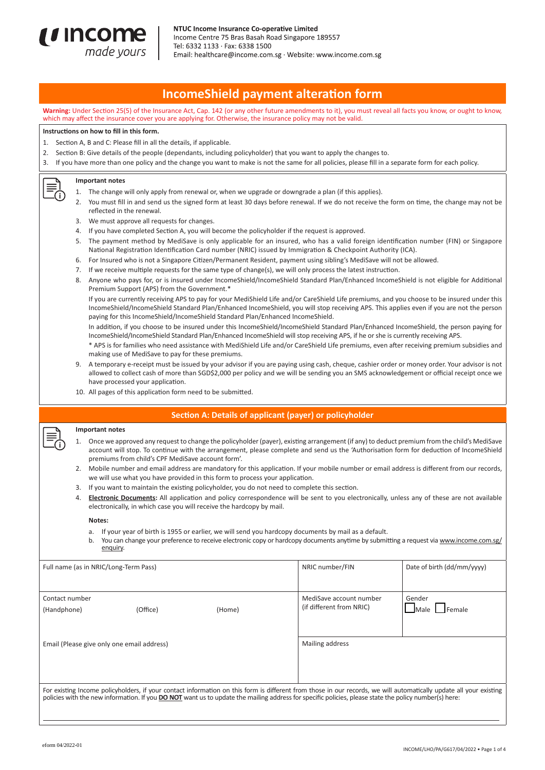

# **IncomeShield payment alteration form**

**Warning:** Under Section 25(5) of the Insurance Act, Cap. 142 (or any other future amendments to it), you must reveal all facts you know, or ought to know, which may affect the insurance cover you are applying for. Otherwise, the insurance policy may not be valid.

## **Instructions on how to fill in this form.**

- 1. Section A, B and C: Please fill in all the details, if applicable.
- 2. Section B: Give details of the people (dependants, including policyholder) that you want to apply the changes to.
- 3. If you have more than one policy and the change you want to make is not the same for all policies, please fill in a separate form for each policy.

#### **Important notes**

G

- 1. The change will only apply from renewal or, when we upgrade or downgrade a plan (if this applies).
- 2. You must fill in and send us the signed form at least 30 days before renewal. If we do not receive the form on time, the change may not be reflected in the renewal.
- 3. We must approve all requests for changes.
- 4. If you have completed Section A, you will become the policyholder if the request is approved.
- The payment method by MediSave is only applicable for an insured, who has a valid foreign identification number (FIN) or Singapore National Registration Identification Card number (NRIC) issued by Immigration & Checkpoint Authority (ICA).
- 6. For Insured who is not a Singapore Citizen/Permanent Resident, payment using sibling's MediSave will not be allowed.
- 7. If we receive multiple requests for the same type of change(s), we will only process the latest instruction.
- 8. Anyone who pays for, or is insured under IncomeShield/IncomeShield Standard Plan/Enhanced IncomeShield is not eligible for Additional Premium Support (APS) from the Government.\*

 If you are currently receiving APS to pay for your MediShield Life and/or CareShield Life premiums, and you choose to be insured under this IncomeShield/IncomeShield Standard Plan/Enhanced IncomeShield, you will stop receiving APS. This applies even if you are not the person paying for this IncomeShield/IncomeShield Standard Plan/Enhanced IncomeShield.

 In addition, if you choose to be insured under this IncomeShield/IncomeShield Standard Plan/Enhanced IncomeShield, the person paying for IncomeShield/IncomeShield Standard Plan/Enhanced IncomeShield will stop receiving APS, if he or she is currently receiving APS.

- \* APS is for families who need assistance with MediShield Life and/or CareShield Life premiums, even after receiving premium subsidies and making use of MediSave to pay for these premiums.
- A temporary e-receipt must be issued by your advisor if you are paying using cash, cheque, cashier order or money order. Your advisor is not allowed to collect cash of more than SGD\$2,000 per policy and we will be sending you an SMS acknowledgement or official receipt once we have processed your application.
- 10. All pages of this application form need to be submitted.

# **Section A: Details of applicant (payer) or policyholder**

#### **Important notes**

- 1. Once we approved any request to change the policyholder (payer), existing arrangement (if any) to deduct premium from the child's MediSave account will stop. To continue with the arrangement, please complete and send us the 'Authorisation form for deduction of IncomeShield premiums from child's CPF MediSave account form'.
- 2. Mobile number and email address are mandatory for this application. If your mobile number or email address is different from our records, we will use what you have provided in this form to process your application.
- 3. If you want to maintain the existing policyholder, you do not need to complete this section.
- 4. **Electronic Documents:** All application and policy correspondence will be sent to you electronically, unless any of these are not available electronically, in which case you will receive the hardcopy by mail.

#### **Notes:**

- a. If your year of birth is 1955 or earlier, we will send you hardcopy documents by mail as a default.
- b. You can change your preference to receive electronic copy or hardcopy documents anytime by submitting a request via www.income.com.sg/ enquiry.

| Full name (as in NRIC/Long-Term Pass)                                                                                                                                                                                                                                                                                              |          |        | NRIC number/FIN                                     | Date of birth (dd/mm/yyyy)              |  |
|------------------------------------------------------------------------------------------------------------------------------------------------------------------------------------------------------------------------------------------------------------------------------------------------------------------------------------|----------|--------|-----------------------------------------------------|-----------------------------------------|--|
| Contact number<br>(Handphone)                                                                                                                                                                                                                                                                                                      | (Office) | (Home) | MediSave account number<br>(if different from NRIC) | Gender<br><b>JFemale</b><br><b>Male</b> |  |
| Email (Please give only one email address)                                                                                                                                                                                                                                                                                         |          |        | Mailing address                                     |                                         |  |
| For existing Income policyholders, if your contact information on this form is different from those in our records, we will automatically update all your existing<br>policies with the new information. If you <b>DO NOT</b> want us to update the mailing address for specific policies, please state the policy number(s) here: |          |        |                                                     |                                         |  |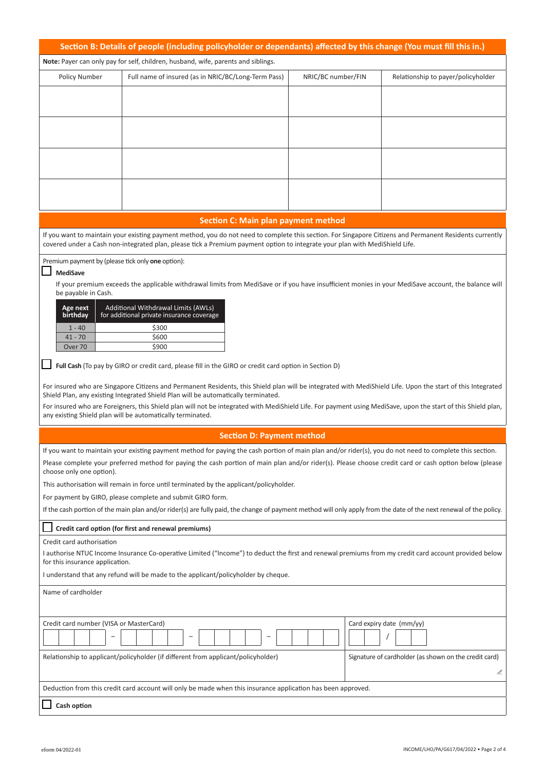|                                                                                                                                                                                                                                                                                         | Section B: Details of people (including policyholder or dependants) affected by this change (You must fill this in.)                                                                                                                              |                    |                                                       |  |  |
|-----------------------------------------------------------------------------------------------------------------------------------------------------------------------------------------------------------------------------------------------------------------------------------------|---------------------------------------------------------------------------------------------------------------------------------------------------------------------------------------------------------------------------------------------------|--------------------|-------------------------------------------------------|--|--|
| Note: Payer can only pay for self, children, husband, wife, parents and siblings.                                                                                                                                                                                                       |                                                                                                                                                                                                                                                   |                    |                                                       |  |  |
| Policy Number                                                                                                                                                                                                                                                                           | Full name of insured (as in NRIC/BC/Long-Term Pass)                                                                                                                                                                                               | NRIC/BC number/FIN | Relationship to payer/policyholder                    |  |  |
|                                                                                                                                                                                                                                                                                         |                                                                                                                                                                                                                                                   |                    |                                                       |  |  |
|                                                                                                                                                                                                                                                                                         |                                                                                                                                                                                                                                                   |                    |                                                       |  |  |
|                                                                                                                                                                                                                                                                                         |                                                                                                                                                                                                                                                   |                    |                                                       |  |  |
|                                                                                                                                                                                                                                                                                         |                                                                                                                                                                                                                                                   |                    |                                                       |  |  |
|                                                                                                                                                                                                                                                                                         |                                                                                                                                                                                                                                                   |                    |                                                       |  |  |
|                                                                                                                                                                                                                                                                                         |                                                                                                                                                                                                                                                   |                    |                                                       |  |  |
|                                                                                                                                                                                                                                                                                         |                                                                                                                                                                                                                                                   |                    |                                                       |  |  |
|                                                                                                                                                                                                                                                                                         |                                                                                                                                                                                                                                                   |                    |                                                       |  |  |
|                                                                                                                                                                                                                                                                                         | <b>Section C: Main plan payment method</b>                                                                                                                                                                                                        |                    |                                                       |  |  |
| If you want to maintain your existing payment method, you do not need to complete this section. For Singapore Citizens and Permanent Residents currently<br>covered under a Cash non-integrated plan, please tick a Premium payment option to integrate your plan with MediShield Life. |                                                                                                                                                                                                                                                   |                    |                                                       |  |  |
| Premium payment by (please tick only one option):                                                                                                                                                                                                                                       |                                                                                                                                                                                                                                                   |                    |                                                       |  |  |
| <b>MediSave</b>                                                                                                                                                                                                                                                                         |                                                                                                                                                                                                                                                   |                    |                                                       |  |  |
| be payable in Cash.                                                                                                                                                                                                                                                                     | If your premium exceeds the applicable withdrawal limits from MediSave or if you have insufficient monies in your MediSave account, the balance will                                                                                              |                    |                                                       |  |  |
| Age next                                                                                                                                                                                                                                                                                | Additional Withdrawal Limits (AWLs)                                                                                                                                                                                                               |                    |                                                       |  |  |
| birthday                                                                                                                                                                                                                                                                                | for additional private insurance coverage                                                                                                                                                                                                         |                    |                                                       |  |  |
| $1 - 40$<br>$41 - 70$                                                                                                                                                                                                                                                                   | \$300<br>\$600                                                                                                                                                                                                                                    |                    |                                                       |  |  |
| Over <sub>70</sub>                                                                                                                                                                                                                                                                      | \$900                                                                                                                                                                                                                                             |                    |                                                       |  |  |
|                                                                                                                                                                                                                                                                                         | Full Cash (To pay by GIRO or credit card, please fill in the GIRO or credit card option in Section D)                                                                                                                                             |                    |                                                       |  |  |
|                                                                                                                                                                                                                                                                                         |                                                                                                                                                                                                                                                   |                    |                                                       |  |  |
|                                                                                                                                                                                                                                                                                         | For insured who are Singapore Citizens and Permanent Residents, this Shield plan will be integrated with MediShield Life. Upon the start of this Integrated<br>Shield Plan, any existing Integrated Shield Plan will be automatically terminated. |                    |                                                       |  |  |
|                                                                                                                                                                                                                                                                                         | For insured who are Foreigners, this Shield plan will not be integrated with MediShield Life. For payment using MediSave, upon the start of this Shield plan,<br>any existing Shield plan will be automatically terminated.                       |                    |                                                       |  |  |
|                                                                                                                                                                                                                                                                                         | <b>Section D: Payment method</b>                                                                                                                                                                                                                  |                    |                                                       |  |  |
|                                                                                                                                                                                                                                                                                         | If you want to maintain your existing payment method for paying the cash portion of main plan and/or rider(s), you do not need to complete this section.                                                                                          |                    |                                                       |  |  |
| choose only one option).                                                                                                                                                                                                                                                                | Please complete your preferred method for paying the cash portion of main plan and/or rider(s). Please choose credit card or cash option below (please                                                                                            |                    |                                                       |  |  |
| This authorisation will remain in force until terminated by the applicant/policyholder.                                                                                                                                                                                                 |                                                                                                                                                                                                                                                   |                    |                                                       |  |  |
| For payment by GIRO, please complete and submit GIRO form.                                                                                                                                                                                                                              |                                                                                                                                                                                                                                                   |                    |                                                       |  |  |
| If the cash portion of the main plan and/or rider(s) are fully paid, the change of payment method will only apply from the date of the next renewal of the policy.                                                                                                                      |                                                                                                                                                                                                                                                   |                    |                                                       |  |  |
| Credit card option (for first and renewal premiums)                                                                                                                                                                                                                                     |                                                                                                                                                                                                                                                   |                    |                                                       |  |  |
| Credit card authorisation                                                                                                                                                                                                                                                               |                                                                                                                                                                                                                                                   |                    |                                                       |  |  |
| I authorise NTUC Income Insurance Co-operative Limited ("Income") to deduct the first and renewal premiums from my credit card account provided below<br>for this insurance application.                                                                                                |                                                                                                                                                                                                                                                   |                    |                                                       |  |  |
| I understand that any refund will be made to the applicant/policyholder by cheque.                                                                                                                                                                                                      |                                                                                                                                                                                                                                                   |                    |                                                       |  |  |
| Name of cardholder                                                                                                                                                                                                                                                                      |                                                                                                                                                                                                                                                   |                    |                                                       |  |  |
|                                                                                                                                                                                                                                                                                         |                                                                                                                                                                                                                                                   |                    |                                                       |  |  |
| Credit card number (VISA or MasterCard)                                                                                                                                                                                                                                                 |                                                                                                                                                                                                                                                   |                    | Card expiry date (mm/yy)                              |  |  |
|                                                                                                                                                                                                                                                                                         |                                                                                                                                                                                                                                                   |                    |                                                       |  |  |
|                                                                                                                                                                                                                                                                                         | Relationship to applicant/policyholder (if different from applicant/policyholder)                                                                                                                                                                 |                    | Signature of cardholder (as shown on the credit card) |  |  |
|                                                                                                                                                                                                                                                                                         |                                                                                                                                                                                                                                                   |                    | P.                                                    |  |  |
| Deduction from this credit card account will only be made when this insurance application has been approved.                                                                                                                                                                            |                                                                                                                                                                                                                                                   |                    |                                                       |  |  |
|                                                                                                                                                                                                                                                                                         |                                                                                                                                                                                                                                                   |                    |                                                       |  |  |
| Cash option                                                                                                                                                                                                                                                                             |                                                                                                                                                                                                                                                   |                    |                                                       |  |  |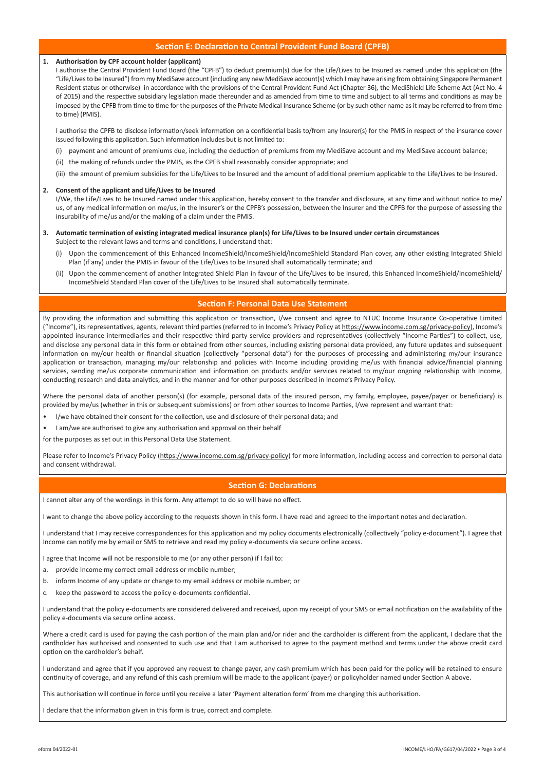## **Section E: Declaration to Central Provident Fund Board (CPFB)**

#### **1. Authorisation by CPF account holder (applicant)**

I authorise the Central Provident Fund Board (the "CPFB") to deduct premium(s) due for the Life/Lives to be Insured as named under this application (the "Life/Lives to be Insured") from my MediSave account (including any new MediSave account(s) which I may have arising from obtaining Singapore Permanent Resident status or otherwise) in accordance with the provisions of the Central Provident Fund Act (Chapter 36), the MediShield Life Scheme Act (Act No. 4 of 2015) and the respective subsidiary legislation made thereunder and as amended from time to time and subject to all terms and conditions as may be imposed by the CPFB from time to time for the purposes of the Private Medical Insurance Scheme (or by such other name as it may be referred to from time to time) (PMIS).

I authorise the CPFB to disclose information/seek information on a confidential basis to/from any Insurer(s) for the PMIS in respect of the insurance cover issued following this application. Such information includes but is not limited to:

- (i) payment and amount of premiums due, including the deduction of premiums from my MediSave account and my MediSave account balance;
- (ii) the making of refunds under the PMIS, as the CPFB shall reasonably consider appropriate; and
- (iii) the amount of premium subsidies for the Life/Lives to be Insured and the amount of additional premium applicable to the Life/Lives to be Insured.

### **2. Consent of the applicant and Life/Lives to be Insured**

 I/We, the Life/Lives to be Insured named under this application, hereby consent to the transfer and disclosure, at any time and without notice to me/ us, of any medical information on me/us, in the Insurer's or the CPFB's possession, between the Insurer and the CPFB for the purpose of assessing the insurability of me/us and/or the making of a claim under the PMIS.

#### **3. Automatic termination of existing integrated medical insurance plan(s) for Life/Lives to be Insured under certain circumstances** Subject to the relevant laws and terms and conditions. Lunderstand that:

- (i) Upon the commencement of this Enhanced IncomeShield/IncomeShield/IncomeShield Standard Plan cover, any other existing Integrated Shield Plan (if any) under the PMIS in favour of the Life/Lives to be Insured shall automatically terminate; and
- (ii) Upon the commencement of another Integrated Shield Plan in favour of the Life/Lives to be Insured, this Enhanced IncomeShield/IncomeShield/ IncomeShield Standard Plan cover of the Life/Lives to be Insured shall automatically terminate.

## **Section F: Personal Data Use Statement**

By providing the information and submitting this application or transaction, I/we consent and agree to NTUC Income Insurance Co-operative Limited ("Income"), its representatives, agents, relevant third parties (referred to in Income's Privacy Policy at https://www.income.com.sg/privacy-policy), Income's appointed insurance intermediaries and their respective third party service providers and representatives (collectively "Income Parties") to collect, use, and disclose any personal data in this form or obtained from other sources, including existing personal data provided, any future updates and subsequent information on my/our health or financial situation (collectively "personal data") for the purposes of processing and administering my/our insurance application or transaction, managing my/our relationship and policies with Income including providing me/us with financial advice/financial planning services, sending me/us corporate communication and information on products and/or services related to my/our ongoing relationship with Income, conducting research and data analytics, and in the manner and for other purposes described in Income's Privacy Policy.

Where the personal data of another person(s) (for example, personal data of the insured person, my family, employee, payee/payer or beneficiary) is provided by me/us (whether in this or subsequent submissions) or from other sources to Income Parties, I/we represent and warrant that:

- I/we have obtained their consent for the collection, use and disclosure of their personal data; and
- I am/we are authorised to give any authorisation and approval on their behalf

for the purposes as set out in this Personal Data Use Statement.

Please refer to Income's Privacy Policy (https://www.income.com.sg/privacy-policy) for more information, including access and correction to personal data and consent withdrawal.

## **Section G: Declarations**

I cannot alter any of the wordings in this form. Any attempt to do so will have no effect.

I want to change the above policy according to the requests shown in this form. I have read and agreed to the important notes and declaration.

I understand that I may receive correspondences for this application and my policy documents electronically (collectively "policy e-document"). I agree that Income can notify me by email or SMS to retrieve and read my policy e-documents via secure online access.

I agree that Income will not be responsible to me (or any other person) if I fail to:

- a. provide Income my correct email address or mobile number;
- b. inform Income of any update or change to my email address or mobile number; or
- c. keep the password to access the policy e-documents confidential.

I understand that the policy e-documents are considered delivered and received, upon my receipt of your SMS or email notification on the availability of the policy e-documents via secure online access.

Where a credit card is used for paying the cash portion of the main plan and/or rider and the cardholder is different from the applicant, I declare that the cardholder has authorised and consented to such use and that I am authorised to agree to the payment method and terms under the above credit card option on the cardholder's behalf.

I understand and agree that if you approved any request to change payer, any cash premium which has been paid for the policy will be retained to ensure continuity of coverage, and any refund of this cash premium will be made to the applicant (payer) or policyholder named under Section A above.

This authorisation will continue in force until you receive a later 'Payment alteration form' from me changing this authorisation.

I declare that the information given in this form is true, correct and complete.